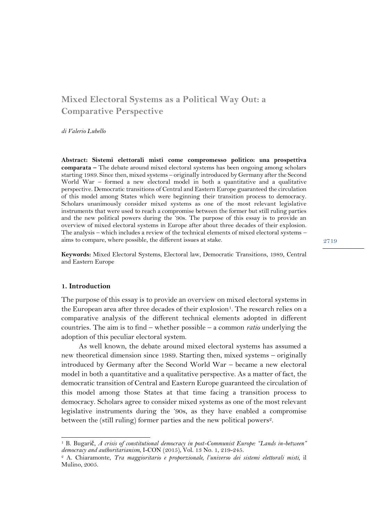# **Mixed Electoral Systems as a Political Way Out: a Comparative Perspective**

*di Valerio Lubello*

**Abstract: Sistemi elettorali misti come compromesso politico: una prospettiva comparata –** The debate around mixed electoral systems has been ongoing among scholars starting 1989. Since then, mixed systems – originally introduced by Germany after the Second World War – formed a new electoral model in both a quantitative and a qualitative perspective. Democratic transitions of Central and Eastern Europe guaranteed the circulation of this model among States which were beginning their transition process to democracy. Scholars unanimously consider mixed systems as one of the most relevant legislative instruments that were used to reach a compromise between the former but still ruling parties and the new political powers during the '90s. The purpose of this essay is to provide an overview of mixed electoral systems in Europe after about three decades of their explosion. The analysis – which includes a review of the technical elements of mixed electoral systems – aims to compare, where possible, the different issues at stake.

**Keywords:** Mixed Electoral Systems, Electoral law, Democratic Transitions, 1989, Central and Eastern Europe

#### **1. Introduction**

The purpose of this essay is to provide an overview on mixed electoral systems in the European area after three decades of their explosion<sup>1</sup>. The research relies on a comparative analysis of the different technical elements adopted in different countries. The aim is to find – whether possible – a common *ratio* underlying the adoption of this peculiar electoral system.

As well known, the debate around mixed electoral systems has assumed a new theoretical dimension since 1989. Starting then, mixed systems – originally introduced by Germany after the Second World War – became a new electoral model in both a quantitative and a qualitative perspective. As a matter of fact, the democratic transition of Central and Eastern Europe guaranteed the circulation of this model among those States at that time facing a transition process to democracy. Scholars agree to consider mixed systems as one of the most relevant legislative instruments during the '90s, as they have enabled a compromise between the (still ruling) former parties and the new political powers<sup>2</sup>.

<sup>1</sup> B. Bugarič, *A crisis of constitutional democracy in post-Communist Europe: "Lands in-between" democracy and authoritarianism*, I-CON (2015), Vol. 13 No. 1, 219-245.

<sup>2</sup> A. Chiaramonte, *Tra maggioritario e proporzionale, l'universo dei sistemi elettorali misti,* il Mulino, 2005.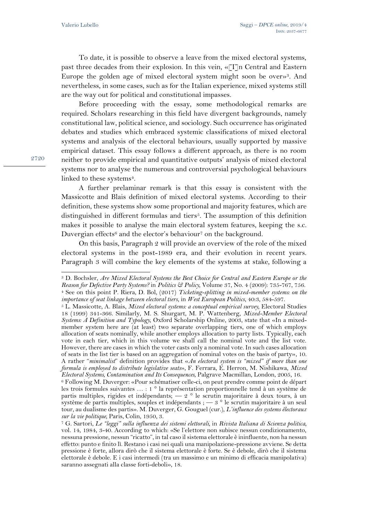To date, it is possible to observe a leave from the mixed electoral systems, past three decades from their explosion. In this vein, «[I]n Central and Eastern Europe the golden age of mixed electoral system might soon be over»3. And nevertheless, in some cases, such as for the Italian experience, mixed systems still are the way out for political and constitutional impasses.

Before proceeding with the essay, some methodological remarks are required. Scholars researching in this field have divergent backgrounds, namely constitutional law, political science, and sociology. Such occurrence has originated debates and studies which embraced systemic classifications of mixed electoral systems and analysis of the electoral behaviours, usually supported by massive empirical dataset. This essay follows a different approach, as there is no room neither to provide empirical and quantitative outputs' analysis of mixed electoral systems nor to analyse the numerous and controversial psychological behaviours linked to these systems<sup>4</sup>.

A further prelaminar remark is that this essay is consistent with the Massicotte and Blais definition of mixed electoral systems. According to their definition, these systems show some proportional and majority features, which are distinguished in different formulas and tiers<sup>5</sup>. The assumption of this definition makes it possible to analyse the main electoral system features, keeping the s.c. Duvergian effects<sup>6</sup> and the elector's behaviour<sup>7</sup> on the background.

On this basis, Paragraph 2 will provide an overview of the role of the mixed electoral systems in the post-1989 era, and their evolution in recent years. Paragraph 3 will combine the key elements of the systems at stake, following a

<sup>3</sup> D. Bochsler, *Are Mixed Electoral Systems the Best Choice for Central and Eastern Europe or the Reason for Defective Party Systems?* in *Politics & Policy,* Volume 37, No. 4 (2009): 735-767, 756. <sup>4</sup> See on this point P. Riera, D. Bol, (2017) *Ticketing-splitting in mixed-member systems: on the importance of seat linkage between electoral tiers*, in *West European Politics*, 40:3, 584-597.

<sup>5</sup> L. Massicotte, A. Blais, *Mixed electoral systems: a conceptual empirical survey,* Electoral Studies 18 (1999) 341-366. Similarly, M. S. Shurgart, M. P. Wattenberg, *Mixed-Member Electoral Systems: A Definition and Typology,* Oxford Scholarship Online, 2003, state that «In a mixedmember system here are (at least) two separate overlapping tiers, one of which employs allocation of seats nominally, while another employs allocation to party lists. Typically, each vote in each tier, which in this volume we shall call the nominal vote and the list vote. However, there are cases in which the voter casts only a nominal vote. In such cases allocation of seats in the list tier is based on an aggregation of nominal votes on the basis of party», 10. A rather "*minimalist*" definition provides that «*An electoral system is "mixed" if more than one formula is employed to distribute legislative seats*», F. Ferrara, E. Herron, M. Nishikawa, *Mixed Electoral Systems, Contamination and Its Consequences,* Palgrave Macmillan, London, 2005, 16.

<sup>6</sup> Following M. Duverger: «Pour schématiser celle-ci, on peut prendre comme point de départ les trois formules suivantes … : 1 ° la représentation proportionnelle tend à un système de partis multiples, rigides et indépendants; — 2 ° le scrutin majoritaire à deux tours, à un système de partis multiples, souples et indépendants ; — 3 ° le scrutin majoritaire à un seul tour, au dualisme des partis». M. Duverger, G. Gouguel (cur.), *L'influence des systems électoraux sur la vie politique,* Paris, Colin, 1950, 3.

<sup>7</sup> G. Sartori, *Le "leggi" sulla influenza dei sistemi elettorali,* in *Rivista Italiana di Scienza politica,*  vol. 14, 1984, 3-40. According to which: «Se l'elettore non subisce nessun condizionamento, nessuna pressione, nessun "ricatto", in tal caso il sistema elettorale è ininfluente, non ha nessun effetto: punto e finito lì. Restano i casi nei quali una manipolazione-pressione avviene. Se detta pressione è forte, allora dirò che il sistema elettorale è forte. Se è debole, dirò che il sistema elettorale è debole. E i casi intermedi (tra un massimo e un minimo di efficacia manipolativa) saranno assegnati alla classe forti-deboli», 18.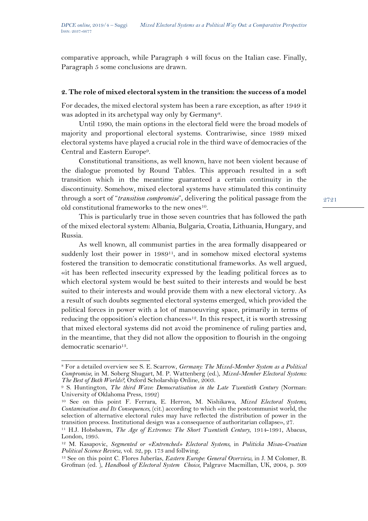comparative approach, while Paragraph 4 will focus on the Italian case. Finally, Paragraph 5 some conclusions are drawn.

## **2. The role of mixed electoral system in the transition: the success of a model**

For decades, the mixed electoral system has been a rare exception, as after 1949 it was adopted in its archetypal way only by Germany<sup>8</sup>.

Until 1990, the main options in the electoral field were the broad models of majority and proportional electoral systems. Contrariwise, since 1989 mixed electoral systems have played a crucial role in the third wave of democracies of the Central and Eastern Europe9.

Constitutional transitions, as well known, have not been violent because of the dialogue promoted by Round Tables. This approach resulted in a soft transition which in the meantime guaranteed a certain continuity in the discontinuity. Somehow, mixed electoral systems have stimulated this continuity through a sort of "*transition compromise*", delivering the political passage from the old constitutional frameworks to the new ones10.

This is particularly true in those seven countries that has followed the path of the mixed electoral system: Albania, Bulgaria, Croatia, Lithuania, Hungary, and Russia.

As well known, all communist parties in the area formally disappeared or suddenly lost their power in 1989<sup>11</sup>, and in somehow mixed electoral systems fostered the transition to democratic constitutional frameworks. As well argued, «it has been reflected insecurity expressed by the leading political forces as to which electoral system would be best suited to their interests and would be best suited to their interests and would provide them with a new electoral victory. As a result of such doubts segmented electoral systems emerged, which provided the political forces in power with a lot of manoeuvring space, primarily in terms of reducing the opposition's election chances»<sup>12</sup>. In this respect, it is worth stressing that mixed electoral systems did not avoid the prominence of ruling parties and, in the meantime, that they did not allow the opposition to flourish in the ongoing democratic scenario<sup>13</sup>.

<sup>8</sup> For a detailed overview see S. E. Scarrow, *Germany: The Mixed-Member System as a Political Compromise,* in M. Soberg Shugart, M. P. Wattenberg (ed.), *Mixed-Member Electoral Systems: The Best of Both Worlds?,* Oxford Scholarship Online, 2003.

<sup>9</sup> S. Huntington, *The third Wave: Democratisation in the Late Twentieth Century* (Norman: University of Oklahoma Press, 1992)

<sup>10</sup> See on this point F. Ferrara, E. Herron, M. Nishikawa, *Mixed Electoral Systems, Contamination and Its Consequences,* (cit.) according to which «in the postcommunist world, the selection of alternative electoral rules may have reflected the distribution of power in the transition process. Institutional design was a consequence of authoritarian collapse», 27.

<sup>11</sup> H.J. Hobsbawm, *The Age of Extremes: The Short Twentieth Century,* 1914-1991, Abacus, London, 1995.

<sup>12</sup> M. Kasapovic, *Segmented or «Entrenched» Electoral Systems,* in *Politicka Misao-Croatian Political Science Review,* vol. 32, pp. 173 and follwing.

<sup>13</sup> See on this point C. Flores Juberías, *Eastern Europe: General Overview,* in J. M Colomer, B. Grofman (ed. ), *Handbook of Electoral System Choice,* Palgrave Macmillan, UK, 2004, p. 309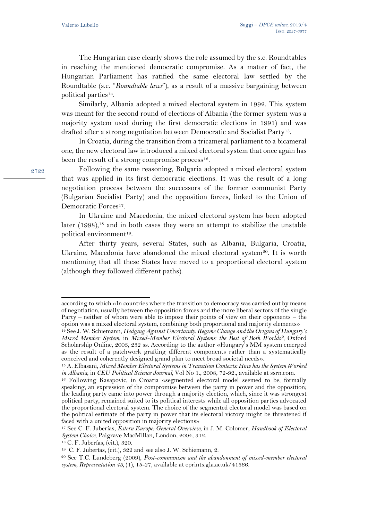The Hungarian case clearly shows the role assumed by the s.c. Roundtables in reaching the mentioned democratic compromise. As a matter of fact, the Hungarian Parliament has ratified the same electoral law settled by the Roundtable (s.c. "*Roundtable laws*"), as a result of a massive bargaining between political parties14.

Similarly, Albania adopted a mixed electoral system in 1992. This system was meant for the second round of elections of Albania (the former system was a majority system used during the first democratic elections in 1991) and was drafted after a strong negotiation between Democratic and Socialist Party15.

In Croatia, during the transition from a tricameral parliament to a bicameral one, the new electoral law introduced a mixed electoral system that once again has been the result of a strong compromise process<sup>16</sup>.

Following the same reasoning, Bulgaria adopted a mixed electoral system that was applied in its first democratic elections. It was the result of a long negotiation process between the successors of the former communist Party (Bulgarian Socialist Party) and the opposition forces, linked to the Union of Democratic Forces<sup>17</sup>.

In Ukraine and Macedonia, the mixed electoral system has been adopted later  $(1998)$ ,<sup>18</sup> and in both cases they were an attempt to stabilize the unstable political environment19.

After thirty years, several States, such as Albania, Bulgaria, Croatia, Ukraine, Macedonia have abandoned the mixed electoral system<sup>20</sup>. It is worth mentioning that all these States have moved to a proportional electoral system (although they followed different paths).

according to which «In countries where the transition to democracy was carried out by means of negotiation, usually between the opposition forces and the more liberal sectors of the single Party – neither of whom were able to impose their points of view on their opponents – the option was a mixed electoral system, combining both proportional and majority elements»

<sup>14</sup> See J. W. Schiemann, *Hedging Against Uncertainty: Regime Change and the Origins of Hungary's Mixed Member System,* in *Mixed-Member Electoral Systems: the Best of Both Worlds?*, Oxford Scholarship Online, 2003, 232 ss. According to the author «Hungary's MM system emerged as the result of a patchwork grafting different components rather than a systematically conceived and coherently designed grand plan to meet broad societal needs».

<sup>15</sup> A. Elbasani, *Mixed Member Electoral Systems in Transition Contexts: How has the System Worked in Albania,* in *CEU Political Science Journal,* Vol No 1., 2008, 72-92., available at ssrn.com.

<sup>&</sup>lt;sup>16</sup> Following Kasapovic, in Croatia «segmented electoral model seemed to be, formally speaking, an expression of the compromise between the party in power and the opposition; the leading party came into power through a majority election, which, since it was strongest political party, remained suited to its political interests while all opposition parties advocated the proportional electoral system. The choice of the segmented electoral model was based on the political estimate of the party in power that its electoral victory might be threatened if faced with a united opposition in majority elections»

<sup>17</sup> See C. F. Juberías, *Estern Europe: General Overview,* in J. M. Colomer, *Handbook of Electoral System Choice,* Palgrave MacMillan, London, 2004, 312.

<sup>18</sup> C. F. Juberías, (cit.), 320.

<sup>19</sup> C. F. Juberías, (cit.), 322 and see also J. W. Schiemann, 2.

<sup>20</sup> See T.C. Lundeberg (2009), *Post-communism and the abandonment of mixed-member electoral system, Representation*  $\overline{45}$ , (1), 15-27, available at eprints.gla.ac.uk/41366.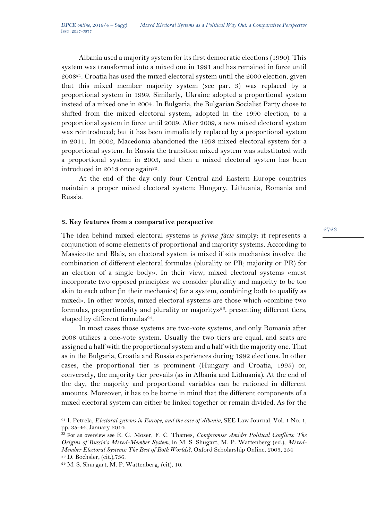Albania used a majority system for its first democratic elections (1990). This system was transformed into a mixed one in 1991 and has remained in force until 200821. Croatia has used the mixed electoral system until the 2000 election, given that this mixed member majority system (see par. 3) was replaced by a proportional system in 1999. Similarly, Ukraine adopted a proportional system instead of a mixed one in 2004. In Bulgaria, the Bulgarian Socialist Party chose to shifted from the mixed electoral system, adopted in the 1990 election, to a proportional system in force until 2009. After 2009, a new mixed electoral system was reintroduced; but it has been immediately replaced by a proportional system in 2011. In 2002, Macedonia abandoned the 1998 mixed electoral system for a proportional system. In Russia the transition mixed system was substituted with a proportional system in 2003, and then a mixed electoral system has been introduced in 2013 once again<sup>22</sup>.

At the end of the day only four Central and Eastern Europe countries maintain a proper mixed electoral system: Hungary, Lithuania, Romania and Russia.

### **3. Key features from a comparative perspective**

The idea behind mixed electoral systems is *prima facie* simply: it represents a conjunction of some elements of proportional and majority systems. According to Massicotte and Blais, an electoral system is mixed if «its mechanics involve the combination of different electoral formulas (plurality or PR; majority or PR) for an election of a single body». In their view, mixed electoral systems «must incorporate two opposed principles: we consider plurality and majority to be too akin to each other (in their mechanics) for a system, combining both to qualify as mixed». In other words, mixed electoral systems are those which «combine two formulas, proportionality and plurality or majority»<sup>23</sup>, presenting different tiers, shaped by different formulas $24$ .

In most cases those systems are two-vote systems, and only Romania after 2008 utilizes a one-vote system. Usually the two tiers are equal, and seats are assigned a half with the proportional system and a half with the majority one. That as in the Bulgaria, Croatia and Russia experiences during 1992 elections. In other cases, the proportional tier is prominent (Hungary and Croatia, 1995) or, conversely, the majority tier prevails (as in Albania and Lithuania). At the end of the day, the majority and proportional variables can be rationed in different amounts. Moreover, it has to be borne in mind that the different components of a mixed electoral system can either be linked together or remain divided. As for the

<sup>&</sup>lt;sup>21</sup> I. Petrela, *Electoral systems in Europe, and the case of Albania*, **SEE Law Journal**, Vol. 1 No. 1, pp. 35-44, January 2014.

<sup>22</sup> For an overview see R. G. Moser, F. C. Thames, *Compromise Amidst Political Conflicts: The Origins of Russia's Mixed-Member System,* in M. S. Shugart, M. P. Wattenberg (ed.), *Mixed-Member Electoral Systems: The Best of Both Worlds?,* Oxford Scholarship Online, 2003, 254 <sup>23</sup> D. Bochsler, (cit.),736.

 $24$  M. S. Shurgart, M. P. Wattenberg, (cit), 10.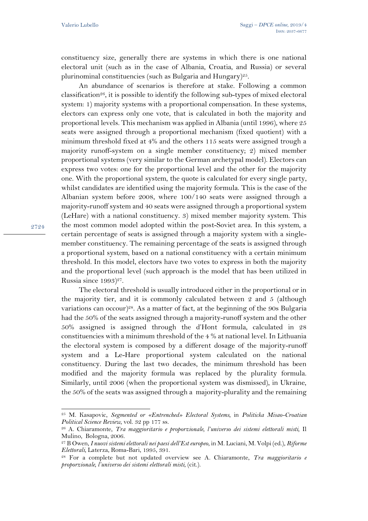2724

constituency size, generally there are systems in which there is one national electoral unit (such as in the case of Albania, Croatia, and Russia) or several plurinominal constituencies (such as Bulgaria and Hungary)<sup>25</sup>.

An abundance of scenarios is therefore at stake. Following a common classification<sup>26</sup>, it is possible to identify the following sub-types of mixed electoral system: 1) majority systems with a proportional compensation. In these systems, electors can express only one vote, that is calculated in both the majority and proportional levels. This mechanism was applied in Albania (until 1996), where 25 seats were assigned through a proportional mechanism (fixed quotient) with a minimum threshold fixed at 4% and the others 115 seats were assigned trough a majority runoff-system on a single member constituency; 2) mixed member proportional systems (very similar to the German archetypal model). Electors can express two votes: one for the proportional level and the other for the majority one. With the proportional system, the quote is calculated for every single party, whilst candidates are identified using the majority formula. This is the case of the Albanian system before 2008, where 100/140 seats were assigned through a majority-runoff system and 40 seats were assigned through a proportional system (LeHare) with a national constituency. 3) mixed member majority system. This the most common model adopted within the post-Soviet area. In this system, a certain percentage of seats is assigned through a majority system with a singlemember constituency. The remaining percentage of the seats is assigned through a proportional system, based on a national constituency with a certain minimum threshold. In this model, electors have two votes to express in both the majority and the proportional level (such approach is the model that has been utilized in Russia since  $1993)^{27}$ .

The electoral threshold is usually introduced either in the proportional or in the majority tier, and it is commonly calculated between 2 and 5 (although variations can occour)<sup>28</sup>. As a matter of fact, at the beginning of the 90s Bulgaria had the 50% of the seats assigned through a majority-runoff system and the other 50% assigned is assigned through the d'Hont formula, calculated in 28 constituencies with a minimum threshold of the 4 % at national level. In Lithuania the electoral system is composed by a different dosage of the majority-runoff system and a Le-Hare proportional system calculated on the national constituency. During the last two decades, the minimum threshold has been modified and the majority formula was replaced by the plurality formula. Similarly, until 2006 (when the proportional system was dismissed), in Ukraine, the 50% of the seats was assigned through a majority-plurality and the remaining

<sup>25</sup> M. Kasapovic, *Segmented or «Entrenched» Electoral Systems,* in *Politicka Misao-Croatian Political Science Review,* vol. 32 pp 177 ss.

<sup>26</sup> A. Chiaramonte, *Tra maggioritario e proporzionale, l'universo dei sistemi elettorali misti,* Il Mulino, Bologna, 2006.

<sup>27</sup> B Owen, *I nuovi sistemi elettorali nei paesi dell'Est europeo*, in M. Luciani, M. Volpi (ed.), *Riforme Elettorali,* Laterza, Roma-Bari, 1995, 391.

<sup>28</sup> For a complete but not updated overview see A. Chiaramonte, *Tra maggioritario e proporzionale, l'universo dei sistemi elettorali misti,* (cit.).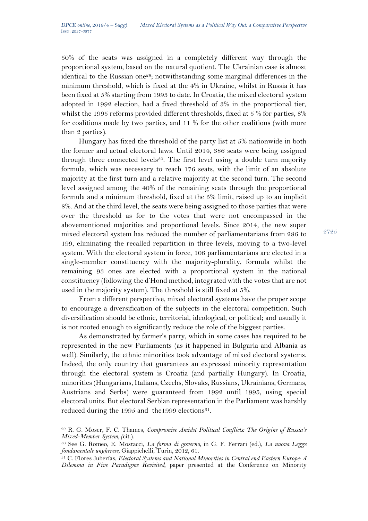50% of the seats was assigned in a completely different way through the proportional system, based on the natural quotient. The Ukrainian case is almost identical to the Russian one<sup>29</sup>; notwithstanding some marginal differences in the minimum threshold, which is fixed at the 4% in Ukraine, whilst in Russia it has been fixed at 5% starting from 1993 to date. In Croatia, the mixed electoral system adopted in 1992 election, had a fixed threshold of 3% in the proportional tier, whilst the 1995 reforms provided different thresholds, fixed at 5 % for parties, 8% for coalitions made by two parties, and 11 % for the other coalitions (with more than 2 parties).

Hungary has fixed the threshold of the party list at 5% nationwide in both the former and actual electoral laws. Until 2014, 386 seats were being assigned through three connected levels<sup>30</sup>. The first level using a double turn majority formula, which was necessary to reach 176 seats, with the limit of an absolute majority at the first turn and a relative majority at the second turn. The second level assigned among the 40% of the remaining seats through the proportional formula and a minimum threshold, fixed at the 5% limit, raised up to an implicit 8%. And at the third level, the seats were being assigned to those parties that were over the threshold as for to the votes that were not encompassed in the abovementioned majorities and proportional levels. Since 2014, the new super mixed electoral system has reduced the number of parliamentarians from 286 to 199, eliminating the recalled repartition in three levels, moving to a two-level system. With the electoral system in force, 106 parliamentarians are elected in a single-member constituency with the majority-plurality, formula whilst the remaining 93 ones are elected with a proportional system in the national constituency (following the d'Hond method, integrated with the votes that are not used in the majority system). The threshold is still fixed at 5%.

From a different perspective, mixed electoral systems have the proper scope to encourage a diversification of the subjects in the electoral competition. Such diversification should be ethnic, territorial, ideological, or political; and usually it is not rooted enough to significantly reduce the role of the biggest parties.

As demonstrated by farmer's party, which in some cases has required to be represented in the new Parliaments (as it happened in Bulgaria and Albania as well). Similarly, the ethnic minorities took advantage of mixed electoral systems. Indeed, the only country that guarantees an expressed minority representation through the electoral system is Croatia (and partially Hungary). In Croatia, minorities (Hungarians, Italians, Czechs, Slovaks, Russians, Ukrainians, Germans, Austrians and Serbs) were guaranteed from 1992 until 1995, using special electoral units. But electoral Serbian representation in the Parliament was harshly reduced during the 1995 and the 1999 elections<sup>31</sup>.

<sup>29</sup> R. G. Moser, F. C. Thames, *Compromise Amidst Political Conflicts: The Origins of Russia's Mixed-Member System, (*cit.).

<sup>30</sup> See G. Romeo, E. Mostacci, *La forma di governo,* in G. F. Ferrari (ed.), *La nuova Legge fondamentale ungherese,* Giappichelli, Turin, 2012, 61.

<sup>31</sup> C. Flores Juberías, *Electoral Systems and National Minorities in Central end Eastern Europe: A Dilemma in Five Paradigms Revisited,* paper presented at the Conference on Minority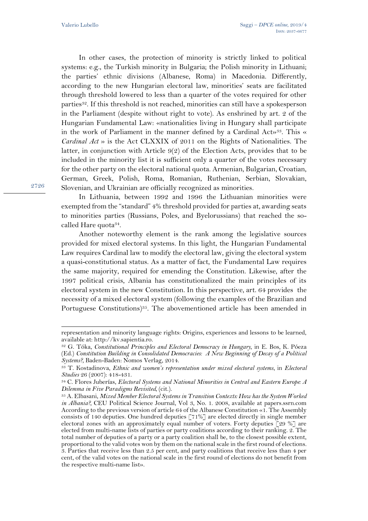In other cases, the protection of minority is strictly linked to political systems: e.g., the Turkish minority in Bulgaria; the Polish minority in Lithuani; the parties' ethnic divisions (Albanese, Roma) in Macedonia. Differently, according to the new Hungarian electoral law, minorities' seats are facilitated through threshold lowered to less than a quarter of the votes required for other parties<sup>32</sup>. If this threshold is not reached, minorities can still have a spokesperson in the Parliament (despite without right to vote). As enshrined by art. 2 of the Hungarian Fundamental Law: «nationalities living in Hungary shall participate in the work of Parliament in the manner defined by a Cardinal Act»<sup>33</sup>. This « *Cardinal Act* » is the Act CLXXIX of 2011 on the Rights of Nationalities. The latter, in conjunction with Article 9(2) of the Election Acts, provides that to be included in the minority list it is sufficient only a quarter of the votes necessary for the other party on the electoral national quota. Armenian, Bulgarian, Croatian, German, Greek, Polish, Roma, Romanian, Ruthenian, Serbian, Slovakian, Slovenian, and Ukrainian are officially recognized as minorities.

In Lithuania, between 1992 and 1996 the Lithuanian minorities were exempted from the "standard" 4% threshold provided for parties at, awarding seats to minorities parties (Russians, Poles, and Byelorussians) that reached the socalled Hare quota34.

Another noteworthy element is the rank among the legislative sources provided for mixed electoral systems. In this light, the Hungarian Fundamental Law requires Cardinal law to modify the electoral law, giving the electoral system a quasi-constitutional status. As a matter of fact, the Fundamental Law requires the same majority, required for emending the Constitution. Likewise, after the 1997 political crisis, Albania has constitutionalized the main principles of its electoral system in the new Constitution. In this perspective, art. 64 provides the necessity of a mixed electoral system (following the examples of the Brazilian and Portuguese Constitutions)<sup>35</sup>. The abovementioned article has been amended in

representation and minority language rights: Origins, experiences and lessons to be learned, available at: http://kv.sapientia.ro.

<sup>32</sup> G. Tóka, *Constitutional Principles and Electoral Democracy in Hungary,* in E. Bos, K. Póeza (Ed.) *Constitution Building in Consolidated Democracies: A New Beginning of Decay of a Political Systems?,* Baden-Baden: Nomos Verlag, 2014.

<sup>33</sup> T. Kostadinova, *Ethnic and women's representation under mixed electoral systems*, in *Electoral Studies* 26 (2007): 418-431.

<sup>34</sup> C. Flores Juberías, *Electoral Systems and National Minorities in Central and Eastern Europe: A Dilemma in Five Paradigms Revisited,* (cit.).

<sup>35</sup> A. Elbasani, *Mixed Member Electoral Systems in Transition Contexts: How has the System Worked in Albania?,* CEU Political Science Journal, Vol 3, No. 1. 2008, available at papers.ssrn.com According to the previous version of article 64 of the Albanese Constitution «1. The Assembly consists of 140 deputies. One hundred deputies [71%] are elected directly in single member electoral zones with an approximately equal number of voters. Forty deputies  $\lceil 29\% \rceil$  are elected from multi-name lists of parties or party coalitions according to their ranking. 2. The total number of deputies of a party or a party coalition shall be, to the closest possible extent, proportional to the valid votes won by them on the national scale in the first round of elections. 3. Parties that receive less than 2.5 per cent, and party coalitions that receive less than 4 per cent, of the valid votes on the national scale in the first round of elections do not benefit from the respective multi-name list».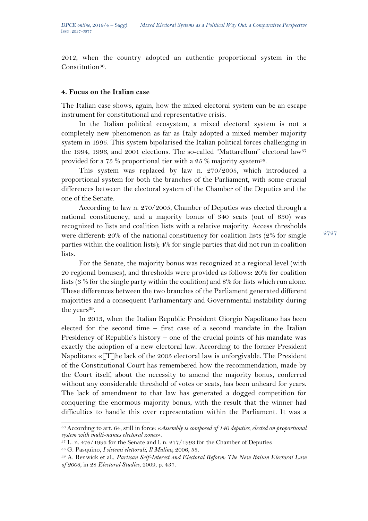2012, when the country adopted an authentic proportional system in the Constitution<sup>36</sup>.

### **4. Focus on the Italian case**

The Italian case shows, again, how the mixed electoral system can be an escape instrument for constitutional and representative crisis.

In the Italian political ecosystem, a mixed electoral system is not a completely new phenomenon as far as Italy adopted a mixed member majority system in 1995. This system bipolarised the Italian political forces challenging in the 1994, 1996, and 2001 elections. The so-called "Mattarellum" electoral law<sup>37</sup> provided for a 75 % proportional tier with a 25 % majority system<sup>38</sup>.

This system was replaced by law n. 270/2005, which introduced a proportional system for both the branches of the Parliament, with some crucial differences between the electoral system of the Chamber of the Deputies and the one of the Senate.

According to law n. 270/2005, Chamber of Deputies was elected through a national constituency, and a majority bonus of 340 seats (out of 630) was recognized to lists and coalition lists with a relative majority. Access thresholds were different: 20% of the national constituency for coalition lists (2% for single parties within the coalition lists); 4% for single parties that did not run in coalition lists.

For the Senate, the majority bonus was recognized at a regional level (with 20 regional bonuses), and thresholds were provided as follows: 20% for coalition lists (3 % for the single party within the coalition) and 8% for lists which run alone. These differences between the two branches of the Parliament generated different majorities and a consequent Parliamentary and Governmental instability during the years<sup>39</sup>.

In 2013, when the Italian Republic President Giorgio Napolitano has been elected for the second time – first case of a second mandate in the Italian Presidency of Republic's history – one of the crucial points of his mandate was exactly the adoption of a new electoral law. According to the former President Napolitano: « $[T]$ he lack of the 2005 electoral law is unforgivable. The President of the Constitutional Court has remembered how the recommendation, made by the Court itself, about the necessity to amend the majority bonus, conferred without any considerable threshold of votes or seats, has been unheard for years. The lack of amendment to that law has generated a dogged competition for conquering the enormous majority bonus, with the result that the winner had difficulties to handle this over representation within the Parliament. It was a

<sup>36</sup> According to art. 64, still in force: «*Assembly is composed of 140 deputies, elected on proportional system with multi-names electoral zones*».

 $37$  L. n. 476/1993 for the Senate and l. n. 277/1993 for the Chamber of Deputies

<sup>38</sup> G. Pasquino, *I sistemi elettorali, Il Mulino,* 2006, 55.

<sup>39</sup> A. Renwick et al., *Partisan Self-Interest and Electoral Reform: The New Italian Electoral Law of 2005*, in 28 *Electoral Studies*, 2009, p. 437.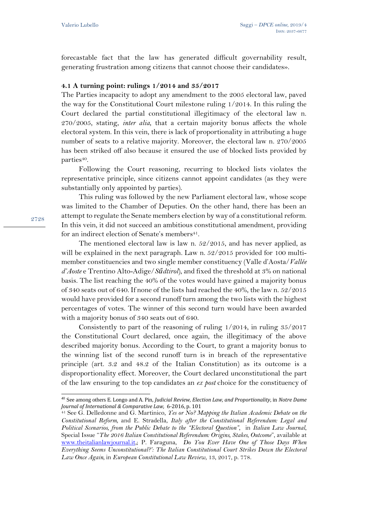forecastable fact that the law has generated difficult governability result, generating frustration among citizens that cannot choose their candidates».

### **4.1 A turning point: rulings 1/2014 and 35/2017**

The Parties incapacity to adopt any amendment to the 2005 electoral law, paved the way for the Constitutional Court milestone ruling 1/2014. In this ruling the Court declared the partial constitutional illegitimacy of the electoral law n. 270/2005, stating, *inter alia*, that a certain majority bonus affects the whole electoral system. In this vein, there is lack of proportionality in attributing a huge number of seats to a relative majority. Moreover, the electoral law n. 270/2005 has been striked off also because it ensured the use of blocked lists provided by parties<sup>40</sup>.

Following the Court reasoning, recurring to blocked lists violates the representative principle, since citizens cannot appoint candidates (as they were substantially only appointed by parties).

This ruling was followed by the new Parliament electoral law, whose scope was limited to the Chamber of Deputies. On the other hand, there has been an attempt to regulate the Senate members election by way of a constitutional reform. In this vein, it did not succeed an ambitious constitutional amendment, providing for an indirect election of Senate's members<sup>41</sup>.

The mentioned electoral law is law n. 52/2015, and has never applied, as will be explained in the next paragraph. Law n. 52/2015 provided for 100 multimember constituencies and two single member constituency (Valle d'Aosta/*Vallée d'Aoste* e Trentino Alto-Adige/*Sűdtirol*), and fixed the threshold at 3% on national basis. The list reaching the 40% of the votes would have gained a majority bonus of 340 seats out of 640. If none of the lists had reached the 40%, the law n. 52/2015 would have provided for a second runoff turn among the two lists with the highest percentages of votes. The winner of this second turn would have been awarded with a majority bonus of 340 seats out of 640.

Consistently to part of the reasoning of ruling 1/2014, in ruling 35/2017 the Constitutional Court declared, once again, the illegitimacy of the above described majority bonus. According to the Court, to grant a majority bonus to the winning list of the second runoff turn is in breach of the representative principle (art. 3.2 and 48.2 of the Italian Constitution) as its outcome is a disproportionality effect. Moreover, the Court declared unconstitutional the part of the law ensuring to the top candidates an *ex post* choice for the constituency of

<sup>40</sup> See among others E. Longo and A. Pin, *Judicial Review, Election Law, and Proportionality*, in *Notre Dame Journal of International & Comparative Law,* 6-2016, p. 101

<sup>41</sup> See G. Delledonne and G. Martinico, *Yes or No? Mapping the Italian Academic Debate on the Constitutional Reform,* and E. Stradella, *Italy after the Constitutional Referendum: Legal and Political Scenarios, from the Public Debate to the "Electoral Question"*, in *Italian Law Journal*, Special Issue "*The 2016 Italian Constitutional Referendum: Origins, Stakes, Outcome*", available at [www.theitalianlawjournal.it,](http://www.theitalianlawjournal.it/); P. Faraguna, *Do You Ever Have One of Those Days When Everything Seems Unconstitutional?': The Italian Constitutional Court Strikes Down the Electoral Law Once Again,* in *European Constitutional Law Review*, 13, 2017, p. 778.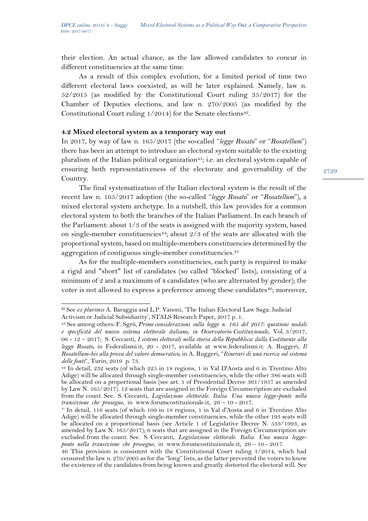their election. An actual chance, as the law allowed candidates to concur in different constituencies at the same time.

As a result of this complex evolution, for a limited period of time two different electoral laws coexisted, as will be later explained. Namely, law n. 52/2015 (as modified by the Constitutional Court ruling 35/2017) for the Chamber of Deputies elections, and law n. 270/2005 (as modified by the Constitutional Court ruling  $1/2014$ ) for the Senate elections<sup>42</sup>.

## **4.2 Mixed electoral system as a temporary way out**

In 2017, by way of law n. 165/2017 (the so-called "*legge Rosato*" or "*Rosatellum*") there has been an attempt to introduce an electoral system suitable to the existing pluralism of the Italian political organization<sup>43</sup>; i.e. an electoral system capable of ensuring both representativeness of the electorate and governability of the Country.

The final systematization of the Italian electoral system is the result of the recent law n. 165/2017 adoption (the so-called "*legge Rosato*" or "*Rosatellum*"), a mixed electoral system archetype. In a nutshell, this law provides for a common electoral system to both the branches of the Italian Parliament. In each branch of the Parliament: about 1/3 of the seats is assigned with the majority system, based on single-member constituencies<sup>44</sup>; about  $2/3$  of the seats are allocated with the proportional system, based on multiple-members constituencies determined by the aggregation of contiguous single-member constituencies.<sup>45</sup>

As for the multiple-members constituencies, each party is required to make a rigid and "short" list of candidates (so called "blocked" lists), consisting of a minimum of 2 and a maximum of 4 candidates (who are alternated by gender); the voter is not allowed to express a preference among these candidates $46$ ; moreover,

<sup>42</sup> See *ex plurimis* A. Baraggia and L.P. Vanoni, 'The Italian Electoral Law Saga: Judicial Activism or Judicial Subsidiarity', STALS Research Paper, 2017 p. 1.

<sup>43</sup> See among others: F. Sgrò, *Prime considerazioni sulla legge n. 165 del 2017: questioni nodali e specificità del nuovo sistema elettorale italiano, in Osservatorio Costituzionale*, Vol. 3/2017, 06 - 12 – 2017; S. Ceccanti, *I sistemi elettorali nella storia della Repubblica: dalla Costituente alla legge Rosato,* in Federalismi.it, 20 - 2017, available at www.federalismi.it: A. Ruggeri, *Il Rosatellum-bis alla prova del valore democratico,* in A. Ruggeri, "*Itinerari di una ricerca sul sistema delle fonti*", Turin, 2019 p. 73.

<sup>44</sup> In detail, 232 seats (of which 225 in 18 regions, 1 in Val D'Aosta and 6 in Trentino Alto Adige) will be allocated through single-member constituencies, while the other 386 seats will be allocated on a proportional basis (see art. 1 of Presidential Decree 361/1957 as amended by Law N. 165/2017). 12 seats that are assigned in the Foreign Circumscription are excluded from the count. See. S. Ceccanti*, Legislazione elettorale. Italia. Una nuova legge-ponte nella transizione che prosegue*, in www.forumcostituzionale.it, 26 – 10 - 2017.

*<sup>45</sup>* In detail, 116 seats (of which 109 in 18 regions, 1 in Val d'Aosta and 6 in Trentino Alto Adige) will be allocated through single-member constituencies, while the other 193 seats will be allocated on a proportional basis (see Article 1 of Legislative Decree N. 533/1993, as amended by Law N. 165/2017); 6 seats that are assigned in the Foreign Circumscription are excluded from the count. See. S. Ceccanti, *Legislazione elettorale. Italia. Una nuova leggeponte nella transizione che prosegue*, in www.forumcostituzionale.it, 26 – 10 - 2017.

<sup>46</sup> This provision is consistent with the Constitutional Court ruling 1/2014, which had censured the law n. 270/2005 as for the "long" lists, as the latter prevented the voters to know the existence of the candidates from being known and greatly distorted the electoral will. See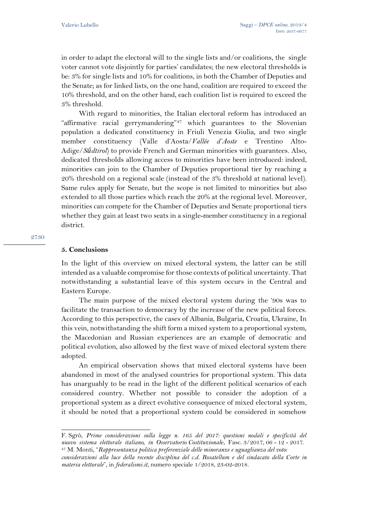in order to adapt the electoral will to the single lists and/or coalitions, the single voter cannot vote disjointly for parties' candidates; the new electoral thresholds is be: 3% for single lists and 10% for coalitions, in both the Chamber of Deputies and the Senate; as for linked lists, on the one hand, coalition are required to exceed the 10% threshold, and on the other hand, each coalition list is required to exceed the 3% threshold.

With regard to minorities, the Italian electoral reform has introduced an "affirmative racial gerrymandering"<sup>47</sup> which guarantees to the Slovenian population a dedicated constituency in Friuli Venezia Giulia, and two single member constituency (Valle d'Aosta/*Vallée d'Aoste* e Trentino Alto-Adige/*Sűdtirol*) to provide French and German minorities with guarantees. Also, dedicated thresholds allowing access to minorities have been introduced: indeed, minorities can join to the Chamber of Deputies proportional tier by reaching a 20% threshold on a regional scale (instead of the 3% threshold at national level). Same rules apply for Senate, but the scope is not limited to minorities but also extended to all those parties which reach the 20% at the regional level. Moreover, minorities can compete for the Chamber of Deputies and Senate proportional tiers whether they gain at least two seats in a single-member constituency in a regional district.

#### 9730

#### **5. Conclusions**

In the light of this overview on mixed electoral system, the latter can be still intended as a valuable compromise for those contexts of political uncertainty. That notwithstanding a substantial leave of this system occurs in the Central and Eastern Europe.

The main purpose of the mixed electoral system during the '90s was to facilitate the transaction to democracy by the increase of the new political forces. According to this perspective, the cases of Albania, Bulgaria, Croatia, Ukraine, In this vein, notwithstanding the shift form a mixed system to a proportional system, the Macedonian and Russian experiences are an example of democratic and political evolution, also allowed by the first wave of mixed electoral system there adopted.

An empirical observation shows that mixed electoral systems have been abandoned in most of the analysed countries for proportional system. This data has unarguably to be read in the light of the different political scenarios of each considered country. Whether not possible to consider the adoption of a proportional system as a direct evolutive consequence of mixed electoral system, it should be noted that a proportional system could be considered in somehow

F. Sgrò, *Prime considerazioni sulla legge n. 165 del 2017: questioni nodali e specificità del nuovo sistema elettorale italiano, in Osservatorio Costituzional*e, Fasc. 3/2017, 06 - 12 - 2017. <sup>47</sup> M. Monti, "*Rappresentanza politica preferenziale delle minoranze e uguaglianza del voto:*

*considerazioni alla luce della recente disciplina del c.d. Rosatellum e del sindacato della Corte in materia elettorale*", in *federalismi.it*, numero speciale 1/2018, 23-02-2018.